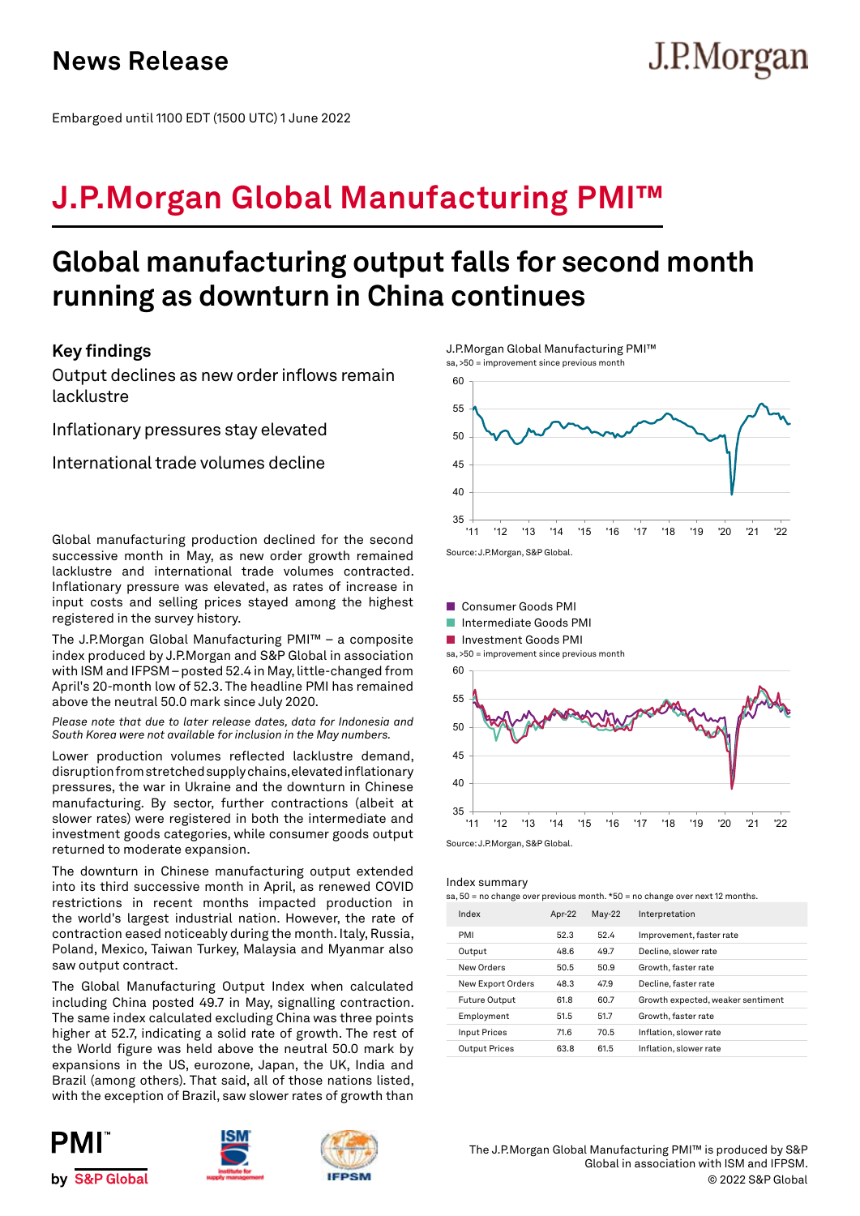Embargoed until 1100 EDT (1500 UTC) 1 June 2022

## **J.P.Morgan Global Manufacturing PMI™**

## **Global manufacturing output falls for second month running as downturn in China continues**

## **Key findings**

Output declines as new order inflows remain lacklustre

Inflationary pressures stay elevated

International trade volumes decline

Global manufacturing production declined for the second successive month in May, as new order growth remained lacklustre and international trade volumes contracted. Inflationary pressure was elevated, as rates of increase in input costs and selling prices stayed among the highest registered in the survey history.

The J.P.Morgan Global Manufacturing PMI™ – a composite index produced by J.P.Morgan and S&P Global in association with ISM and IFPSM – posted 52.4 in May, little-changed from April's 20-month low of 52.3. The headline PMI has remained above the neutral 50.0 mark since July 2020.

*Please note that due to later release dates, data for Indonesia and South Korea were not available for inclusion in the May numbers.*

Lower production volumes reflected lacklustre demand, disruption from stretched supply chains, elevated inflationary pressures, the war in Ukraine and the downturn in Chinese manufacturing. By sector, further contractions (albeit at slower rates) were registered in both the intermediate and investment goods categories, while consumer goods output returned to moderate expansion.

The downturn in Chinese manufacturing output extended into its third successive month in April, as renewed COVID restrictions in recent months impacted production in the world's largest industrial nation. However, the rate of contraction eased noticeably during the month. Italy, Russia, Poland, Mexico, Taiwan Turkey, Malaysia and Myanmar also saw output contract.

The Global Manufacturing Output Index when calculated including China posted 49.7 in May, signalling contraction. The same index calculated excluding China was three points higher at 52.7, indicating a solid rate of growth. The rest of the World figure was held above the neutral 50.0 mark by expansions in the US, eurozone, Japan, the UK, India and Brazil (among others). That said, all of those nations listed, with the exception of Brazil, saw slower rates of growth than







J.P.Morgan Global Manufacturing PMI™ sa, >50 = improvement since previous month



J.P.Morgan



Index summary

sa, 50 = no change over previous month.  $*50$  = no change over next 12 months

| Index                | Apr-22 | $May-22$ | Interpretation                    |
|----------------------|--------|----------|-----------------------------------|
| PMI                  | 52.3   | 52.4     | Improvement, faster rate          |
| Output               | 48.6   | 49.7     | Decline, slower rate              |
| New Orders           | 50.5   | 50.9     | Growth, faster rate               |
| New Export Orders    | 48.3   | 47.9     | Decline, faster rate              |
| <b>Future Output</b> | 61.8   | 60.7     | Growth expected, weaker sentiment |
| Employment           | 51.5   | 51.7     | Growth, faster rate               |
| Input Prices         | 71.6   | 70.5     | Inflation, slower rate            |
| <b>Output Prices</b> | 63.8   | 61.5     | Inflation, slower rate            |

© 2022 S&P Global The J.P.Morgan Global Manufacturing PMI™ is produced by S&P Global in association with ISM and IFPSM.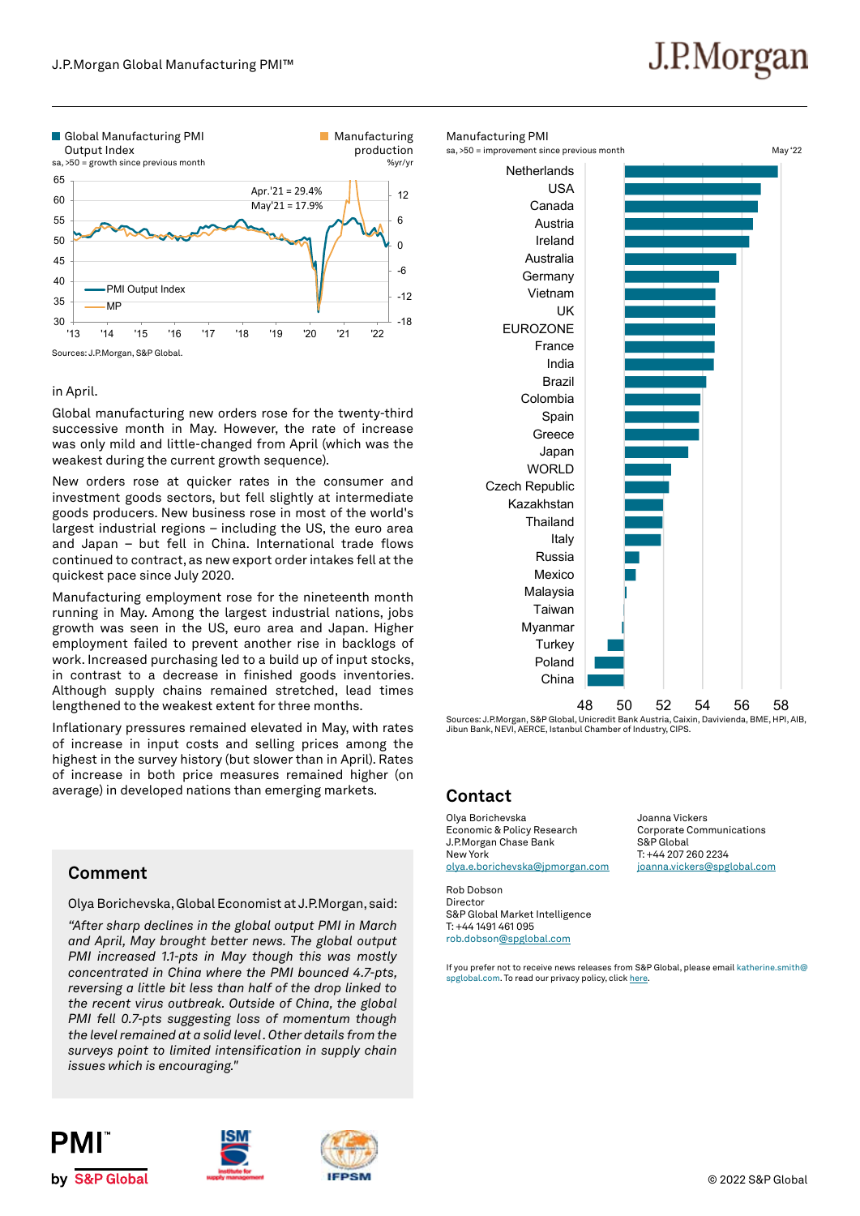#### Global Manufacturing PMI Output Index sa, >50 = growth since previous month **Manufacturing** production %yr/yr Sources: J.P.Morgan, S&P Global. -18 -12 -6  $\Omega$ 6 12 30 35 40 45 50 55 60 65 '13 '14 '15 '16 '17 '18 '19 '20 '21 '22 PMI Output Index **MP** Apr.'21 = 29.4% May'21 = 17.9%

### in April.

Global manufacturing new orders rose for the twenty-third successive month in May. However, the rate of increase was only mild and little-changed from April (which was the weakest during the current growth sequence).

New orders rose at quicker rates in the consumer and investment goods sectors, but fell slightly at intermediate goods producers. New business rose in most of the world's largest industrial regions – including the US, the euro area and Japan – but fell in China. International trade flows continued to contract, as new export order intakes fell at the quickest pace since July 2020.

Manufacturing employment rose for the nineteenth month running in May. Among the largest industrial nations, jobs growth was seen in the US, euro area and Japan. Higher employment failed to prevent another rise in backlogs of work. Increased purchasing led to a build up of input stocks, in contrast to a decrease in finished goods inventories. Although supply chains remained stretched, lead times lengthened to the weakest extent for three months.

Inflationary pressures remained elevated in May, with rates of increase in input costs and selling prices among the highest in the survey history (but slower than in April). Rates of increase in both price measures remained higher (on average) in developed nations than emerging markets.

### **Comment**

Olya Borichevska, Global Economist at J.P.Morgan, said:

*"After sharp declines in the global output PMI in March and April, May brought better news. The global output PMI increased 1.1-pts in May though this was mostly concentrated in China where the PMI bounced 4.7-pts, reversing a little bit less than half of the drop linked to the recent virus outbreak. Outside of China, the global PMI fell 0.7-pts suggesting loss of momentum though the level remained at a solid level . Other details from the surveys point to limited intensification in supply chain issues which is encouraging."*



 $48\quad 50\quad 52\quad 54\quad 56$  58<br>Sources: J.P.Morgan, S&P Global, Unicredit Bank Austria, Caixin, Davivienda, BME, HPI, AIB, Jibun Bank, NEVI, AERCE, Istanbul Chamber of Industry, CIPS.

## **Contact**

Manufacturing PMI

Olya Borichevska Economic & Policy Research J.P.Morgan Chase Bank New York olya.e.borichevska@jpmorgan.com

Rob Dobson Director S&P Global Market Intelligence T: +44 1491 461 095 rob.dobson@spglobal.com

Joanna Vickers Corporate Communications S&P Global T: +44 207 260 2234 joanna.vickers@spglobal.com

If you prefer not to receive news releases from S&P Global, please email katherine.smith@ spglobal.com. To read our privacy policy, click here.

# J.P.Morgan